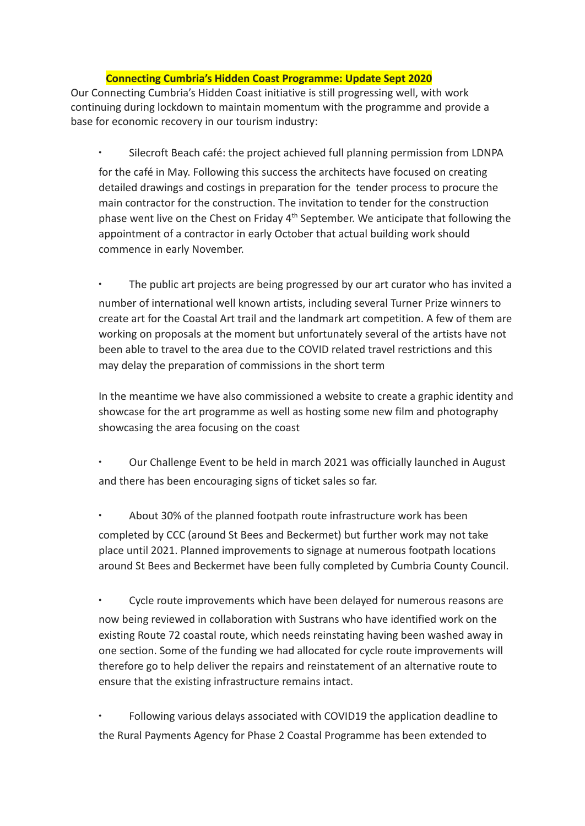## **Connecting Cumbria's Hidden Coast Programme: Update Sept 2020**

Our Connecting Cumbria's Hidden Coast initiative is still progressing well, with work continuing during lockdown to maintain momentum with the programme and provide a base for economic recovery in our tourism industry:

∙ Silecroft Beach café: the project achieved full planning permission from LDNPA for the café in May. Following this success the architects have focused on creating detailed drawings and costings in preparation for the tender process to procure the main contractor for the construction. The invitation to tender for the construction phase went live on the Chest on Friday 4<sup>th</sup> September. We anticipate that following the appointment of a contractor in early October that actual building work should commence in early November.

The public art projects are being progressed by our art curator who has invited a number of international well known artists, including several Turner Prize winners to create art for the Coastal Art trail and the landmark art competition. A few of them are working on proposals at the moment but unfortunately several of the artists have not been able to travel to the area due to the COVID related travel restrictions and this may delay the preparation of commissions in the short term

In the meantime we have also commissioned a website to create a graphic identity and showcase for the art programme as well as hosting some new film and photography showcasing the area focusing on the coast

∙ Our Challenge Event to be held in march 2021 was officially launched in August and there has been encouraging signs of ticket sales so far.

∙ About 30% of the planned footpath route infrastructure work has been completed by CCC (around St Bees and Beckermet) but further work may not take place until 2021. Planned improvements to signage at numerous footpath locations around St Bees and Beckermet have been fully completed by Cumbria County Council.

∙ Cycle route improvements which have been delayed for numerous reasons are now being reviewed in collaboration with Sustrans who have identified work on the existing Route 72 coastal route, which needs reinstating having been washed away in one section. Some of the funding we had allocated for cycle route improvements will therefore go to help deliver the repairs and reinstatement of an alternative route to ensure that the existing infrastructure remains intact.

∙ Following various delays associated with COVID19 the application deadline to the Rural Payments Agency for Phase 2 Coastal Programme has been extended to